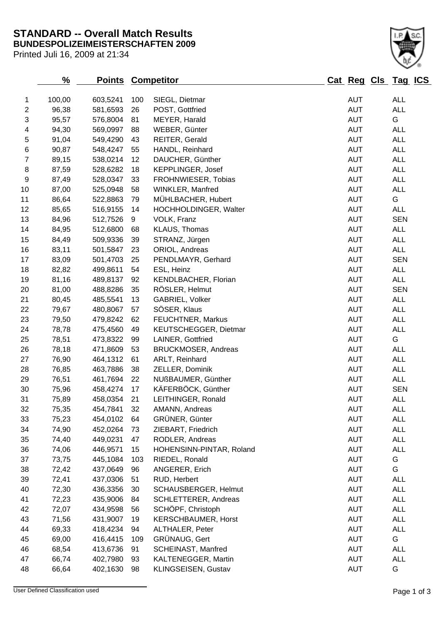## **BUNDESPOLIZEIMEISTERSCHAFTEN 2009 STANDARD -- Overall Match Results**

Printed Juli 16, 2009 at 21:34

## 100,00 603,5241 100 SIEGL, Dietmar AUT ALL 2 96,38 581,6593 26 POST, Gottfried **AUT** ALL 95,57 576,8004 81 MEYER, Harald AUT G 94,30 569,0997 88 WEBER, Günter AUT ALL 91,04 549,4290 43 REITER, Gerald AUT ALL 90,87 548,4247 55 HANDL, Reinhard AUT ALL 89,15 538,0214 12 DAUCHER, Günther AUT ALL 8 87,59 528,6282 18 KEPPLINGER, Josef 2012 10:00 AUT ALL 87,49 528,0347 33 FROHNWIESER, Tobias AUT ALL 87,00 525,0948 58 WINKLER, Manfred AUT ALL 86,64 522,8863 79 MÜHLBACHER, Hubert AUT G 12 85.65 516.9155 14 HOCHHOLDINGER, Walter **AUT** ALL 84,96 512,7526 9 VOLK, Franz AUT SEN 14 84,95 512,6800 68 KLAUS, Thomas **AUT** ALL 84,49 509,9336 39 STRANZ, Jürgen AUT ALL 83,11 501,5847 23 ORIOL, Andreas AUT ALL 83,09 501,4703 25 PENDLMAYR, Gerhard AUT SEN 82,82 499,8611 54 ESL, Heinz AUT ALL 19 81,16 489,8137 92 KENDLBACHER, Florian AUT ALL 20 81,00 488,8286 35 RÖSLER, Helmut AUT SEN 21 80,45 485,5541 13 GABRIEL, Volker AUT ALL 79,67 480,8067 57 SÖSER, Klaus AUT ALL 79,50 479,8242 62 FEUCHTNER, Markus AUT ALL 78,78 475,4560 49 KEUTSCHEGGER, Dietmar AUT ALL 25 78,51 473,8322 99 LAINER, Gottfried **AUT** G 78,18 471,8609 53 BRUCKMOSER, Andreas AUT ALL 27 76,90 464,1312 61 ARLT, Reinhard **AUT** ALL 76,85 463,7886 38 ZELLER, Dominik AUT ALL 76,51 461,7694 22 NUßBAUMER, Günther AUT ALL 30 75,96 458,4274 17 KÄFERBÖCK, Günther **AUT** SEN 75,89 458,0354 21 LEITHINGER, Ronald AUT ALL 75,35 454,7841 32 AMANN, Andreas AUT ALL 75,23 454,0102 64 GRÜNER, Günter AUT ALL 74,90 452,0264 73 ZIEBART, Friedrich AUT ALL 74,40 449,0231 47 RODLER, Andreas AUT ALL 74,06 446,9571 15 HOHENSINN-PINTAR, Roland AUT ALL 37 73,75 445,1084 103 RIEDEL, Ronald **AUT** G 72,42 437,0649 96 ANGERER, Erich AUT G 72,41 437,0306 51 RUD, Herbert AUT ALL 72,30 436,3356 30 SCHAUSBERGER, Helmut AUT ALL 72,23 435,9006 84 SCHLETTERER, Andreas AUT ALL 72,07 434,9598 56 SCHÖPF, Christoph AUT ALL 71,56 431,9007 19 KERSCHBAUMER, Horst AUT ALL 69,33 418,4234 94 ALTHALER, Peter AUT ALL 69,00 416,4415 109 GRÜNAUG, Gert AUT G 46 68,54 413,6736 91 SCHEINAST, Manfred **AUT** ALL

 66,74 402,7980 93 KALTENEGGER, Martin AUT ALL 66,64 402,1630 98 KLINGSEISEN, Gustav AUT G

**% Points Competitor Cat Reg Cls Tag ICS**

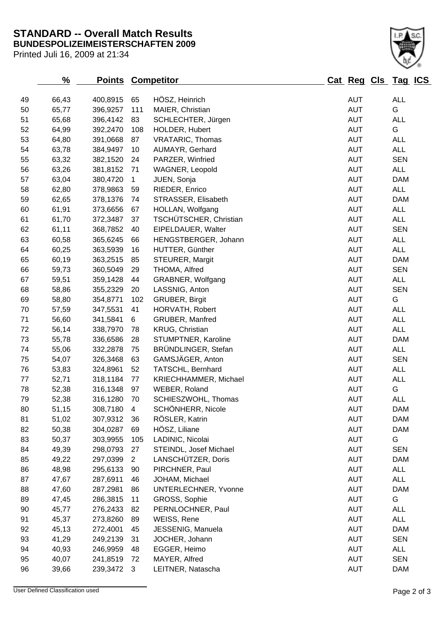## **BUNDESPOLIZEIMEISTERSCHAFTEN 2009 STANDARD -- Overall Match Results**

Printed Juli 16, 2009 at 21:34

| 49 | 66,43 | 400,8915    | 65             | HÖSZ, Heinrich          | <b>AUT</b> | <b>ALL</b> |
|----|-------|-------------|----------------|-------------------------|------------|------------|
| 50 | 65,77 | 396,9257    | 111            | MAIER, Christian        | <b>AUT</b> | G          |
| 51 | 65,68 | 396,4142    | 83             | SCHLECHTER, Jürgen      | <b>AUT</b> | <b>ALL</b> |
| 52 | 64,99 | 392,2470    | 108            | HOLDER, Hubert          | <b>AUT</b> | G          |
| 53 | 64,80 | 391,0668    | 87             | <b>VRATARIC, Thomas</b> | <b>AUT</b> | <b>ALL</b> |
| 54 | 63,78 | 384,9497    | 10             | AUMAYR, Gerhard         | <b>AUT</b> | <b>ALL</b> |
| 55 | 63,32 | 382,1520    | 24             | PARZER, Winfried        | <b>AUT</b> | <b>SEN</b> |
| 56 | 63,26 | 381,8152    | 71             | WAGNER, Leopold         | <b>AUT</b> | ALL        |
| 57 | 63,04 | 380,4720    | $\overline{1}$ | JUEN, Sonja             | <b>AUT</b> | <b>DAM</b> |
| 58 | 62,80 | 378,9863    | 59             | RIEDER, Enrico          | <b>AUT</b> | ALL        |
| 59 | 62,65 | 378,1376    | 74             | STRASSER, Elisabeth     | <b>AUT</b> | <b>DAM</b> |
| 60 | 61,91 | 373,6656    | 67             | HOLLAN, Wolfgang        | <b>AUT</b> | ALL        |
| 61 | 61,70 | 372,3487    | 37             | TSCHÜTSCHER, Christian  | <b>AUT</b> | ALL        |
| 62 | 61,11 | 368,7852    | 40             | EIPELDAUER, Walter      | <b>AUT</b> | <b>SEN</b> |
| 63 | 60,58 | 365,6245    | 66             | HENGSTBERGER, Johann    | <b>AUT</b> | <b>ALL</b> |
| 64 | 60,25 | 363,5939    | 16             | HUTTER, Günther         | <b>AUT</b> | ALL        |
| 65 | 60,19 | 363,2515    | 85             | STEURER, Margit         | <b>AUT</b> | <b>DAM</b> |
| 66 | 59,73 | 360,5049    | 29             | THOMA, Alfred           | <b>AUT</b> | <b>SEN</b> |
| 67 | 59,51 | 359,1428    | 44             | GRABNER, Wolfgang       | <b>AUT</b> | <b>ALL</b> |
| 68 | 58,86 | 355,2329    | 20             | LASSNIG, Anton          | <b>AUT</b> | <b>SEN</b> |
| 69 | 58,80 | 354,8771    | 102            | GRUBER, Birgit          | <b>AUT</b> | G          |
| 70 | 57,59 | 347,5531    | 41             | HORVATH, Robert         | <b>AUT</b> | <b>ALL</b> |
| 71 | 56,60 | 341,5841    | 6              | GRUBER, Manfred         | <b>AUT</b> | <b>ALL</b> |
| 72 | 56,14 | 338,7970    | 78             | KRUG, Christian         | <b>AUT</b> | <b>ALL</b> |
| 73 | 55,78 | 336,6586    | 28             | STUMPTNER, Karoline     | <b>AUT</b> | <b>DAM</b> |
| 74 | 55,06 | 332,2878    | 75             | BRÜNDLINGER, Stefan     | <b>AUT</b> | <b>ALL</b> |
| 75 | 54,07 | 326,3468    | 63             | GAMSJÄGER, Anton        | <b>AUT</b> | <b>SEN</b> |
| 76 | 53,83 | 324,8961    | 52             | TATSCHL, Bernhard       | <b>AUT</b> | <b>ALL</b> |
| 77 | 52,71 | 318,1184    | 77             | KRIECHHAMMER, Michael   | <b>AUT</b> | <b>ALL</b> |
| 78 | 52,38 | 316,1348    | 97             | WEBER, Roland           | <b>AUT</b> | G          |
| 79 | 52,38 | 316,1280    | 70             | SCHIESZWOHL, Thomas     | <b>AUT</b> | ALL        |
| 80 | 51,15 | 308,7180    | $\overline{4}$ | SCHÖNHERR, Nicole       | <b>AUT</b> | <b>DAM</b> |
| 81 | 51,02 | 307,9312 36 |                | RÖSLER, Katrin          | <b>AUT</b> | <b>DAM</b> |
| 82 | 50,38 | 304,0287    | 69             | HÖSZ, Liliane           | <b>AUT</b> | <b>DAM</b> |
| 83 | 50,37 | 303,9955    | 105            | LADINIC, Nicolai        | <b>AUT</b> | G          |
| 84 | 49,39 | 298,0793    | 27             | STEINDL, Josef Michael  | <b>AUT</b> | <b>SEN</b> |
| 85 | 49,22 | 297,0399    | $\overline{2}$ | LANSCHÜTZER, Doris      | <b>AUT</b> | <b>DAM</b> |
| 86 | 48,98 | 295,6133    | 90             | PIRCHNER, Paul          | <b>AUT</b> | <b>ALL</b> |
| 87 | 47,67 | 287,6911    | 46             | JOHAM, Michael          | <b>AUT</b> | <b>ALL</b> |
| 88 | 47,60 | 287,2981    | 86             | UNTERLECHNER, Yvonne    | <b>AUT</b> | <b>DAM</b> |
| 89 | 47,45 | 286,3815    | 11             | GROSS, Sophie           | <b>AUT</b> | G          |
| 90 | 45,77 | 276,2433    | 82             | PERNLOCHNER, Paul       | <b>AUT</b> | <b>ALL</b> |
| 91 | 45,37 | 273,8260    | 89             | WEISS, Rene             | <b>AUT</b> | <b>ALL</b> |
| 92 | 45,13 | 272,4001    | 45             | JESSENIG, Manuela       | <b>AUT</b> | <b>DAM</b> |
| 93 | 41,29 | 249,2139    | 31             | JOCHER, Johann          | <b>AUT</b> | <b>SEN</b> |
| 94 | 40,93 | 246,9959    | 48             | EGGER, Heimo            | <b>AUT</b> | <b>ALL</b> |
| 95 | 40,07 | 241,8519    | 72             | MAYER, Alfred           | <b>AUT</b> | <b>SEN</b> |
| 96 | 39,66 | 239,3472    | $\mathbf{3}$   | LEITNER, Natascha       | <b>AUT</b> | <b>DAM</b> |
|    |       |             |                |                         |            |            |

**% Points Competitor Cat Reg Cls Tag ICS**